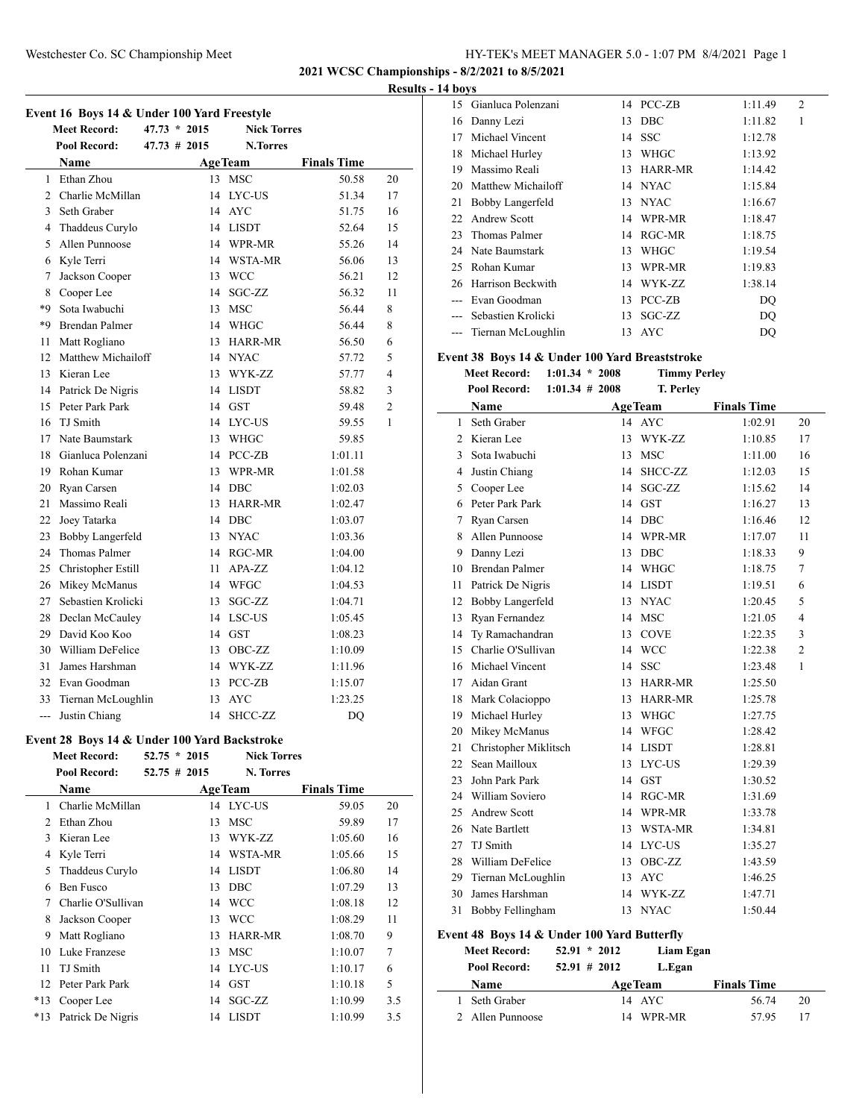**2021 WCSC Championships - 8/2/2021 to 8/5/2021**

#### **Results - 14 boys**

| Event 16 Boys 14 & Under 100 Yard Freestyle |                      |  |                |                    |                        |                |  |
|---------------------------------------------|----------------------|--|----------------|--------------------|------------------------|----------------|--|
|                                             | <b>Meet Record:</b>  |  | $47.73 * 2015$ | <b>Nick Torres</b> |                        |                |  |
|                                             | <b>Pool Record:</b>  |  | $47.73$ # 2015 | <b>N.Torres</b>    |                        |                |  |
|                                             | <b>Name</b>          |  |                | <b>AgeTeam</b>     | <b>Finals Time</b>     |                |  |
| 1                                           | Ethan Zhou           |  | 13             | <b>MSC</b>         | 50.58                  | 20             |  |
| $\overline{2}$                              | Charlie McMillan     |  | 14             | LYC-US             | 51.34                  | 17             |  |
| 3                                           | Seth Graber          |  | 14             | <b>AYC</b>         | 51.75                  | 16             |  |
| 4                                           | Thaddeus Curylo      |  |                | 14 LISDT           | 52.64                  | 15             |  |
| 5                                           | Allen Punnoose       |  |                | 14 WPR-MR          | 55.26                  | 14             |  |
| 6                                           | Kyle Terri           |  |                | 14 WSTA-MR         | 56.06                  | 13             |  |
| 7                                           | Jackson Cooper       |  |                | 13 WCC             | 56.21                  | 12             |  |
| 8                                           | Cooper Lee           |  |                | 14 SGC-ZZ          | 56.32                  | 11             |  |
| *9                                          | Sota Iwabuchi        |  |                | 13 MSC             | 56.44                  | 8              |  |
| *9                                          | Brendan Palmer       |  |                | 14 WHGC            | 56.44                  | 8              |  |
| 11                                          | Matt Rogliano        |  |                | 13 HARR-MR         | 56.50                  | 6              |  |
| 12                                          | Matthew Michailoff   |  |                | 14 NYAC            | 57.72                  | 5              |  |
| 13                                          | Kieran Lee           |  |                | 13 WYK-ZZ          | 57.77                  | $\overline{4}$ |  |
|                                             | 14 Patrick De Nigris |  |                | 14 LISDT           | 58.82                  | 3              |  |
| 15                                          | Peter Park Park      |  |                | 14 GST             | 59.48                  | $\overline{c}$ |  |
|                                             | 16 TJ Smith          |  |                | 14 LYC-US          | 59.55                  | 1              |  |
| 17                                          | Nate Baumstark       |  |                | 13 WHGC            | 59.85                  |                |  |
| 18                                          | Gianluca Polenzani   |  |                | 14 PCC-ZB          | 1:01.11                |                |  |
| 19                                          | Rohan Kumar          |  |                | 13 WPR-MR          | 1:01.58                |                |  |
| 20                                          | Ryan Carsen          |  |                | 14 DBC             | 1:02.03                |                |  |
| 21                                          | Massimo Reali        |  |                | 13 HARR-MR         | 1:02.47                |                |  |
| 22                                          | Joey Tatarka         |  |                | 14 DBC             | 1:03.07                |                |  |
| 23                                          | Bobby Langerfeld     |  |                | 13 NYAC            | 1:03.36                |                |  |
| 24                                          | <b>Thomas Palmer</b> |  |                | 14 RGC-MR          | 1:04.00                |                |  |
| 25                                          | Christopher Estill   |  | 11             | APA-ZZ             | 1:04.12                |                |  |
| 26                                          | Mikey McManus        |  |                | 14 WFGC            | 1:04.53                |                |  |
| 27                                          | Sebastien Krolicki   |  | 13             | SGC-ZZ             | 1:04.71                |                |  |
| 28                                          | Declan McCauley      |  |                | 14 LSC-US          | 1:05.45                |                |  |
| 29                                          | David Koo Koo        |  |                | 14 GST             | 1:08.23                |                |  |
| 30                                          | William DeFelice     |  | 13             | OBC-ZZ             | 1:10.09                |                |  |
| 31                                          | James Harshman       |  |                | 14 WYK-ZZ          | 1:11.96                |                |  |
| 32                                          | Evan Goodman         |  |                | 13 PCC-ZB          | 1:15.07                |                |  |
| 33                                          | Tiernan McLoughlin   |  | 13             | <b>AYC</b>         | 1:23.25                |                |  |
| ---                                         | Justin Chiang        |  | 14             | SHCC-ZZ            | $\mathbf{D}\mathbf{Q}$ |                |  |
|                                             |                      |  |                |                    |                        |                |  |

## **Event 28 Boys 14 & Under 100 Yard Backstroke**

|                | <b>Meet Record:</b> | $52.75 * 2015$ |    | <b>Nick Torres</b> |                    |                |
|----------------|---------------------|----------------|----|--------------------|--------------------|----------------|
|                | Pool Record:        | $52.75$ # 2015 |    | N. Torres          |                    |                |
|                | Name                |                |    | <b>AgeTeam</b>     | <b>Finals Time</b> |                |
| 1              | Charlie McMillan    |                |    | 14 LYC-US          | 59.05              | 20             |
| $\mathfrak{D}$ | Ethan Zhou          |                | 13 | <b>MSC</b>         | 59.89              | 17             |
| 3              | Kieran Lee          |                | 13 | WYK-ZZ             | 1:05.60            | 16             |
| 4              | Kyle Terri          |                | 14 | WSTA-MR            | 1:05.66            | 15             |
| 5              | Thaddeus Curylo     |                | 14 | <b>LISDT</b>       | 1:06.80            | 14             |
| 6              | Ben Fusco           |                | 13 | <b>DBC</b>         | 1:07.29            | 13             |
| 7              | Charlie O'Sullivan  |                |    | 14 WCC             | 1:08.18            | 12             |
| 8              | Jackson Cooper      |                | 13 | WCC                | 1:08.29            | 11             |
| 9              | Matt Rogliano       |                | 13 | <b>HARR-MR</b>     | 1:08.70            | 9              |
| 10             | Luke Franzese       |                | 13 | MSC                | 1:10.07            | $\overline{7}$ |
| 11             | TJ Smith            |                | 14 | LYC-US             | 1:10.17            | 6              |
| 12             | Peter Park Park     |                |    | 14 GST             | 1:10.18            | 5              |
| $*13$          | Cooper Lee          |                | 14 | SGC-ZZ             | 1:10.99            | 3.5            |
| $*13$          | Patrick De Nigris   |                | 14 | LISDT              | 1:10.99            | 3.5            |

|    | 15 Gianluca Polenzani  |     | 14 PCC-ZB  | 1:11.49 | $\overline{c}$ |
|----|------------------------|-----|------------|---------|----------------|
| 16 | Danny Lezi             | 13  | <b>DBC</b> | 1:11.82 | 1              |
| 17 | Michael Vincent        |     | 14 SSC     | 1:12.78 |                |
| 18 | Michael Hurley         | 13  | WHGC       | 1:13.92 |                |
| 19 | Massimo Reali          | 13. | HARR-MR    | 1:14.42 |                |
| 20 | Matthew Michailoff     |     | 14 NYAC    | 1:15.84 |                |
| 21 | Bobby Langerfeld       | 13. | NYAC       | 1:16.67 |                |
| 22 | Andrew Scott           | 14  | WPR-MR     | 1:18.47 |                |
| 23 | Thomas Palmer          | 14  | RGC-MR     | 1:18.75 |                |
| 24 | Nate Baumstark         | 13  | WHGC       | 1:19.54 |                |
| 25 | Rohan Kumar            | 13  | WPR-MR     | 1:19.83 |                |
| 26 | Harrison Beckwith      | 14  | WYK-ZZ     | 1:38.14 |                |
|    | Evan Goodman           | 13  | PCC-ZB     | DO      |                |
|    | --- Sebastien Krolicki | 13  | SGC-ZZ     | DO      |                |
|    | --- Tiernan McLoughlin | 13  | <b>AYC</b> | DO      |                |

# **Event 38 Boys 14 & Under 100 Yard Breaststroke**

|    | <b>Meet Record:</b>     | $1:01.34 * 2008$  | <b>Timmy Perley</b> |                    |                |
|----|-------------------------|-------------------|---------------------|--------------------|----------------|
|    | <b>Pool Record:</b>     | $1:01.34 \# 2008$ | T. Perley           |                    |                |
|    | Name                    |                   | <b>AgeTeam</b>      | <b>Finals Time</b> |                |
| 1  | Seth Graber             |                   | 14 AYC              | 1:02.91            | 20             |
| 2  | Kieran Lee              | 13                | WYK-ZZ              | 1:10.85            | 17             |
| 3  | Sota Iwabuchi           | 13                | MSC                 | 1:11.00            | 16             |
| 4  | Justin Chiang           | 14                | SHCC-ZZ             | 1:12.03            | 15             |
| 5  | Cooper Lee              | 14                | SGC-ZZ              | 1:15.62            | 14             |
| 6  | Peter Park Park         | 14                | <b>GST</b>          | 1:16.27            | 13             |
| 7  | Ryan Carsen             | 14                | DBC                 | 1:16.46            | 12             |
| 8  | Allen Punnoose          | 14                | WPR-MR              | 1:17.07            | 11             |
| 9  | Danny Lezi              | 13                | <b>DBC</b>          | 1:18.33            | 9              |
| 10 | <b>Brendan Palmer</b>   | 14                | <b>WHGC</b>         | 1:18.75            | 7              |
| 11 | Patrick De Nigris       | 14                | <b>LISDT</b>        | 1:19.51            | 6              |
| 12 | <b>Bobby Langerfeld</b> | 13                | <b>NYAC</b>         | 1:20.45            | 5              |
| 13 | Ryan Fernandez          | 14                | <b>MSC</b>          | 1:21.05            | $\overline{4}$ |
| 14 | Ty Ramachandran         | 13                | <b>COVE</b>         | 1:22.35            | 3              |
| 15 | Charlie O'Sullivan      | 14                | <b>WCC</b>          | 1:22.38            | $\overline{c}$ |
| 16 | Michael Vincent         | 14                | <b>SSC</b>          | 1:23.48            | 1              |
| 17 | Aidan Grant             | 13                | <b>HARR-MR</b>      | 1:25.50            |                |
| 18 | Mark Colacioppo         | 13                | <b>HARR-MR</b>      | 1:25.78            |                |
| 19 | Michael Hurley          | 13                | <b>WHGC</b>         | 1:27.75            |                |
| 20 | Mikey McManus           | 14                | <b>WFGC</b>         | 1:28.42            |                |
| 21 | Christopher Miklitsch   | 14                | <b>LISDT</b>        | 1:28.81            |                |
| 22 | Sean Mailloux           | 13                | LYC-US              | 1:29.39            |                |
| 23 | John Park Park          | 14                | <b>GST</b>          | 1:30.52            |                |
| 24 | William Soviero         | 14                | RGC-MR              | 1:31.69            |                |
| 25 | <b>Andrew Scott</b>     | 14                | WPR-MR              | 1:33.78            |                |
| 26 | Nate Bartlett           | 13                | WSTA-MR             | 1:34.81            |                |
| 27 | <b>TJ</b> Smith         | 14                | LYC-US              | 1:35.27            |                |
| 28 | William DeFelice        | 13                | OBC-ZZ              | 1:43.59            |                |
| 29 | Tiernan McLoughlin      | 13                | <b>AYC</b>          | 1:46.25            |                |
| 30 | James Harshman          | 14                | WYK-ZZ              | 1:47.71            |                |
| 31 | Bobby Fellingham        | 13                | <b>NYAC</b>         | 1:50.44            |                |
|    |                         |                   |                     |                    |                |

#### **Event 48 Boys 14 & Under 100 Yard Butterfly**

| <b>Meet Record:</b> | $52.91 * 2012$  | Liam Egan      |                    |    |
|---------------------|-----------------|----------------|--------------------|----|
| Pool Record:        | $52.91 \# 2012$ | L.Egan         |                    |    |
| Name                |                 | <b>AgeTeam</b> | <b>Finals Time</b> |    |
| 1 Seth Graber       |                 | 14 AYC         | 56.74              | 20 |
| 2 Allen Punnoose    | 14              | WPR-MR         | 57.95              |    |